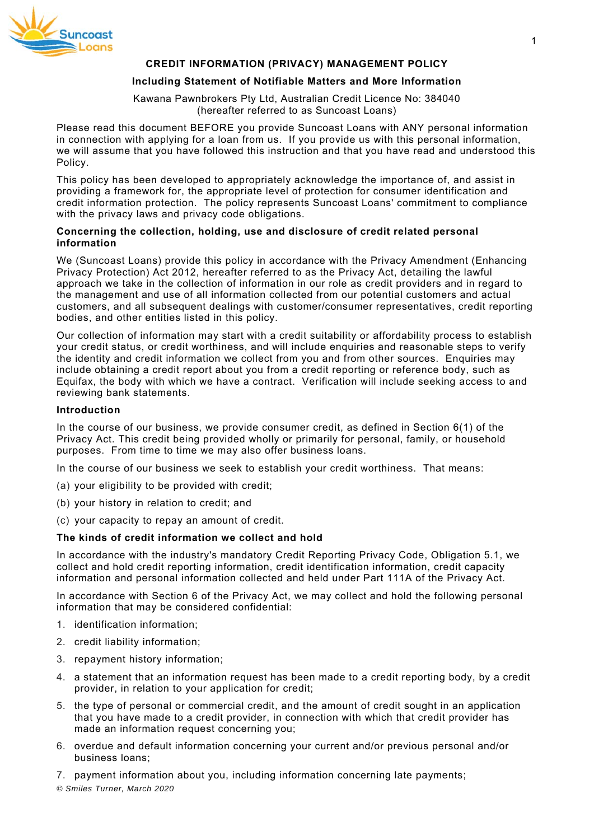

# **CREDIT INFORMATION (PRIVACY) MANAGEMENT POLICY**

# **Including Statement of Notifiable Matters and More Information**

Kawana Pawnbrokers Pty Ltd, Australian Credit Licence No: 384040 (hereafter referred to as Suncoast Loans)

Please read this document BEFORE you provide Suncoast Loans with ANY personal information in connection with applying for a loan from us. If you provide us with this personal information, we will assume that you have followed this instruction and that you have read and understood this Policy.

This policy has been developed to appropriately acknowledge the importance of, and assist in providing a framework for, the appropriate level of protection for consumer identification and credit information protection. The policy represents Suncoast Loans' commitment to compliance with the privacy laws and privacy code obligations.

# **Concerning the collection, holding, use and disclosure of credit related personal information**

We (Suncoast Loans) provide this policy in accordance with the Privacy Amendment (Enhancing Privacy Protection) Act 2012, hereafter referred to as the Privacy Act, detailing the lawful approach we take in the collection of information in our role as credit providers and in regard to the management and use of all information collected from our potential customers and actual customers, and all subsequent dealings with customer/consumer representatives, credit reporting bodies, and other entities listed in this policy.

Our collection of information may start with a credit suitability or affordability process to establish your credit status, or credit worthiness, and will include enquiries and reasonable steps to verify the identity and credit information we collect from you and from other sources. Enquiries may include obtaining a credit report about you from a credit reporting or reference body, such as Equifax, the body with which we have a contract. Verification will include seeking access to and reviewing bank statements.

## **Introduction**

In the course of our business, we provide consumer credit, as defined in Section 6(1) of the Privacy Act. This credit being provided wholly or primarily for personal, family, or household purposes. From time to time we may also offer business loans.

In the course of our business we seek to establish your credit worthiness. That means:

- (a) your eligibility to be provided with credit;
- (b) your history in relation to credit; and
- (c) your capacity to repay an amount of credit.

#### **The kinds of credit information we collect and hold**

In accordance with the industry's mandatory Credit Reporting Privacy Code, Obligation 5.1, we collect and hold credit reporting information, credit identification information, credit capacity information and personal information collected and held under Part 111A of the Privacy Act.

In accordance with Section 6 of the Privacy Act, we may collect and hold the following personal information that may be considered confidential:

- 1. identification information;
- 2. credit liability information;
- 3. repayment history information;
- 4. a statement that an information request has been made to a credit reporting body, by a credit provider, in relation to your application for credit;
- 5. the type of personal or commercial credit, and the amount of credit sought in an application that you have made to a credit provider, in connection with which that credit provider has made an information request concerning you;
- 6. overdue and default information concerning your current and/or previous personal and/or business loans;
- 7. payment information about you, including information concerning late payments;

*© Smiles Turner, March 2020*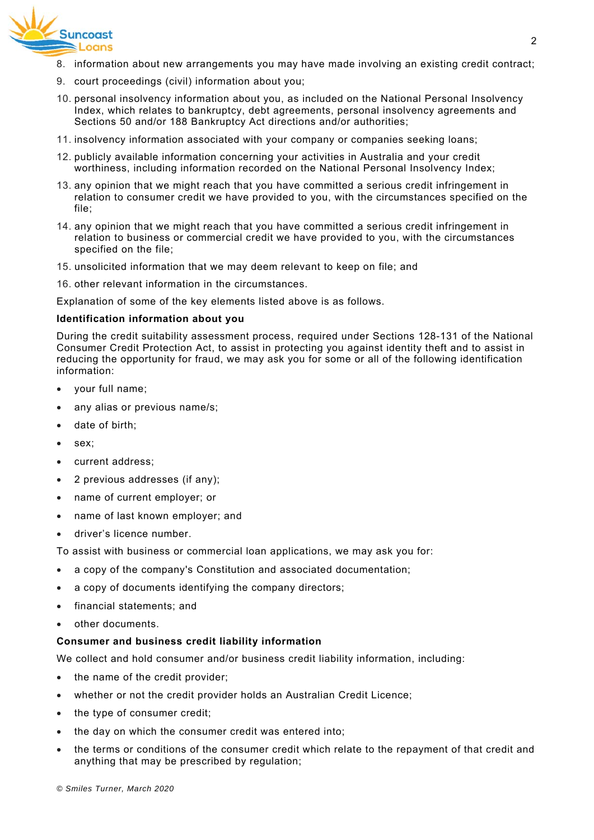

- 8. information about new arrangements you may have made involving an existing credit contract;
- 9. court proceedings (civil) information about you;
- 10. personal insolvency information about you, as included on the National Personal Insolvency Index, which relates to bankruptcy, debt agreements, personal insolvency agreements and Sections 50 and/or 188 Bankruptcy Act directions and/or authorities;
- 11. insolvency information associated with your company or companies seeking loans;
- 12. publicly available information concerning your activities in Australia and your credit worthiness, including information recorded on the National Personal Insolvency Index;
- 13. any opinion that we might reach that you have committed a serious credit infringement in relation to consumer credit we have provided to you, with the circumstances specified on the file;
- 14. any opinion that we might reach that you have committed a serious credit infringement in relation to business or commercial credit we have provided to you, with the circumstances specified on the file;
- 15. unsolicited information that we may deem relevant to keep on file; and
- 16. other relevant information in the circumstances.

Explanation of some of the key elements listed above is as follows.

#### **Identification information about you**

During the credit suitability assessment process, required under Sections 128-131 of the National Consumer Credit Protection Act, to assist in protecting you against identity theft and to assist in reducing the opportunity for fraud, we may ask you for some or all of the following identification information:

- your full name;
- any alias or previous name/s;
- date of birth;
- sex:
- current address;
- 2 previous addresses (if any);
- name of current employer; or
- name of last known employer; and
- driver's licence number.

To assist with business or commercial loan applications, we may ask you for:

- a copy of the company's Constitution and associated documentation;
- a copy of documents identifying the company directors;
- financial statements; and
- other documents.

#### **Consumer and business credit liability information**

We collect and hold consumer and/or business credit liability information, including:

- the name of the credit provider;
- whether or not the credit provider holds an Australian Credit Licence;
- the type of consumer credit;
- the day on which the consumer credit was entered into:
- the terms or conditions of the consumer credit which relate to the repayment of that credit and anything that may be prescribed by regulation;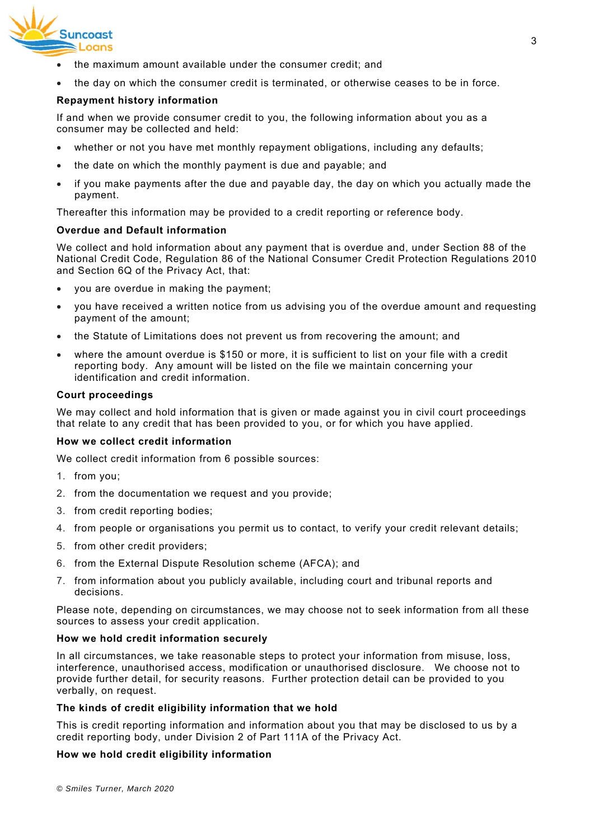

- the maximum amount available under the consumer credit; and
- the day on which the consumer credit is terminated, or otherwise ceases to be in force.

# **Repayment history information**

If and when we provide consumer credit to you, the following information about you as a consumer may be collected and held:

- whether or not you have met monthly repayment obligations, including any defaults;
- the date on which the monthly payment is due and payable; and
- if you make payments after the due and payable day, the day on which you actually made the payment.

Thereafter this information may be provided to a credit reporting or reference body.

# **Overdue and Default information**

We collect and hold information about any payment that is overdue and, under Section 88 of the National Credit Code, Regulation 86 of the National Consumer Credit Protection Regulations 2010 and Section 6Q of the Privacy Act, that:

- you are overdue in making the payment;
- you have received a written notice from us advising you of the overdue amount and requesting payment of the amount;
- the Statute of Limitations does not prevent us from recovering the amount; and
- where the amount overdue is \$150 or more, it is sufficient to list on your file with a credit reporting body. Any amount will be listed on the file we maintain concerning your identification and credit information.

#### **Court proceedings**

We may collect and hold information that is given or made against you in civil court proceedings that relate to any credit that has been provided to you, or for which you have applied.

#### **How we collect credit information**

We collect credit information from 6 possible sources:

- 1. from you;
- 2. from the documentation we request and you provide;
- 3. from credit reporting bodies;
- 4. from people or organisations you permit us to contact, to verify your credit relevant details;
- 5. from other credit providers;
- 6. from the External Dispute Resolution scheme (AFCA); and
- 7. from information about you publicly available, including court and tribunal reports and decisions.

Please note, depending on circumstances, we may choose not to seek information from all these sources to assess your credit application.

# **How we hold credit information securely**

In all circumstances, we take reasonable steps to protect your information from misuse, loss, interference, unauthorised access, modification or unauthorised disclosure. We choose not to provide further detail, for security reasons. Further protection detail can be provided to you verbally, on request.

# **The kinds of credit eligibility information that we hold**

This is credit reporting information and information about you that may be disclosed to us by a credit reporting body, under Division 2 of Part 111A of the Privacy Act.

# **How we hold credit eligibility information**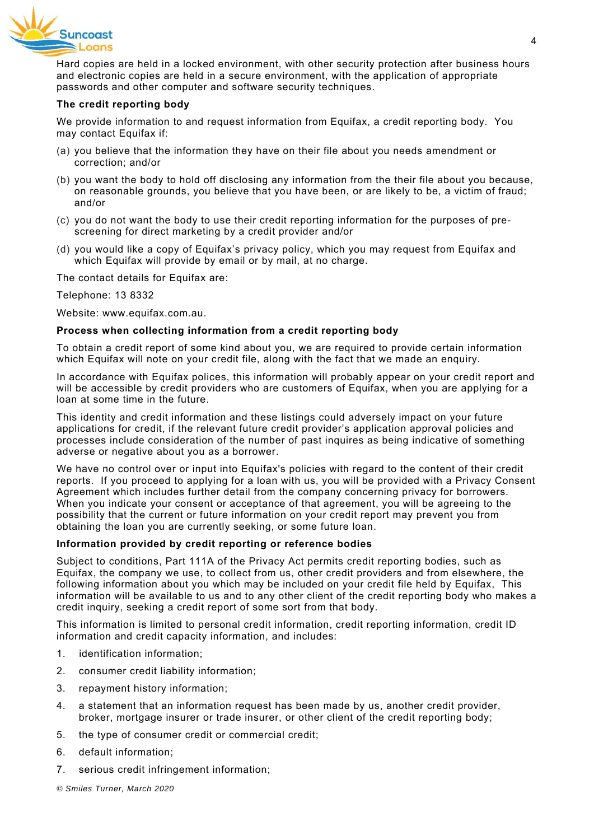

Hard copies are held in a locked environment, with other security protection after business hours and electronic copies are held in a secure environment, with the application of appropriate passwords and other computer and software security techniques.

## **The credit reporting body**

We provide information to and request information from Equifax, a credit reporting body. You may contact Equifax if:

- (a) you believe that the information they have on their file about you needs amendment or correction; and/or
- (b) you want the body to hold off disclosing any information from the their file about you because, on reasonable grounds, you believe that you have been, or are likely to be, a victim of fraud; and/or
- (c) you do not want the body to use their credit reporting information for the purposes of prescreening for direct marketing by a credit provider and/or
- (d) you would like a copy of Equifax's privacy policy, which you may request from Equifax and which Equifax will provide by email or by mail, at no charge.

The contact details for Equifax are:

Telephone: 13 8332

Website: www.equifax.com.au.

#### **Process when collecting information from a credit reporting body**

To obtain a credit report of some kind about you, we are required to provide certain information which Equifax will note on your credit file, along with the fact that we made an enquiry.

In accordance with Equifax polices, this information will probably appear on your credit report and will be accessible by credit providers who are customers of Equifax, when you are applying for a loan at some time in the future.

This identity and credit information and these listings could adversely impact on your future applications for credit, if the relevant future credit provider's application approval policies and processes include consideration of the number of past inquires as being indicative of something adverse or negative about you as a borrower.

We have no control over or input into Equifax's policies with regard to the content of their credit reports. If you proceed to applying for a loan with us, you will be provided with a Privacy Consent Agreement which includes further detail from the company concerning privacy for borrowers. When you indicate your consent or acceptance of that agreement, you will be agreeing to the possibility that the current or future information on your credit report may prevent you from obtaining the loan you are currently seeking, or some future loan.

#### **Information provided by credit reporting or reference bodies**

Subject to conditions, Part 111A of the Privacy Act permits credit reporting bodies, such as Equifax, the company we use, to collect from us, other credit providers and from elsewhere, the following information about you which may be included on your credit file held by Equifax, This information will be available to us and to any other client of the credit reporting body who makes a credit inquiry, seeking a credit report of some sort from that body.

This information is limited to personal credit information, credit reporting information, credit ID information and credit capacity information, and includes:

- 1. identification information;
- 2. consumer credit liability information;
- 3. repayment history information;
- 4. a statement that an information request has been made by us, another credit provider, broker, mortgage insurer or trade insurer, or other client of the credit reporting body;
- 5. the type of consumer credit or commercial credit;
- 6. default information;
- 7. serious credit infringement information;

*© Smiles Turner, March 2020*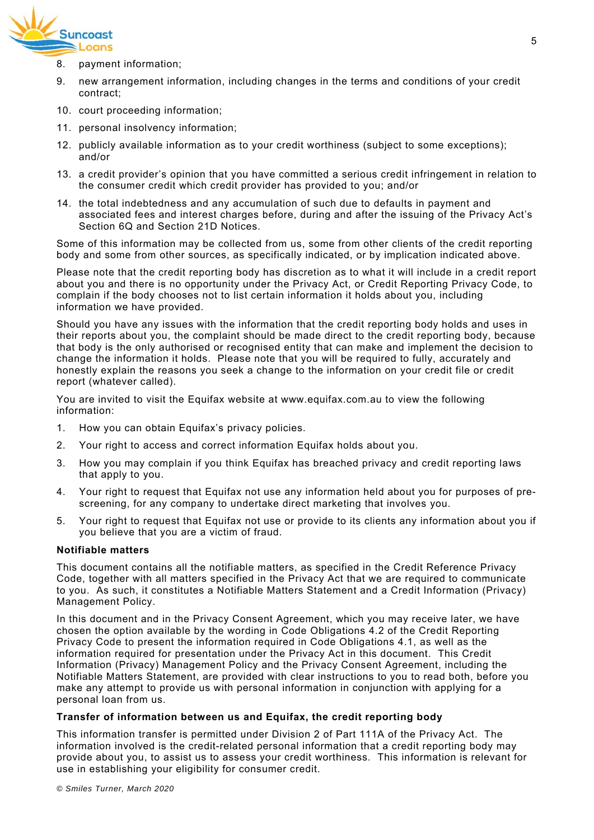

- 8. payment information;
- 9. new arrangement information, including changes in the terms and conditions of your credit contract;
- 10. court proceeding information;
- 11. personal insolvency information;
- 12. publicly available information as to your credit worthiness (subject to some exceptions); and/or
- 13. a credit provider's opinion that you have committed a serious credit infringement in relation to the consumer credit which credit provider has provided to you; and/or
- 14. the total indebtedness and any accumulation of such due to defaults in payment and associated fees and interest charges before, during and after the issuing of the Privacy Act's Section 6Q and Section 21D Notices.

Some of this information may be collected from us, some from other clients of the credit reporting body and some from other sources, as specifically indicated, or by implication indicated above.

Please note that the credit reporting body has discretion as to what it will include in a credit report about you and there is no opportunity under the Privacy Act, or Credit Reporting Privacy Code, to complain if the body chooses not to list certain information it holds about you, including information we have provided.

Should you have any issues with the information that the credit reporting body holds and uses in their reports about you, the complaint should be made direct to the credit reporting body, because that body is the only authorised or recognised entity that can make and implement the decision to change the information it holds. Please note that you will be required to fully, accurately and honestly explain the reasons you seek a change to the information on your credit file or credit report (whatever called).

You are invited to visit the Equifax website at www.equifax.com.au to view the following information:

- 1. How you can obtain Equifax's privacy policies.
- 2. Your right to access and correct information Equifax holds about you.
- 3. How you may complain if you think Equifax has breached privacy and credit reporting laws that apply to you.
- 4. Your right to request that Equifax not use any information held about you for purposes of prescreening, for any company to undertake direct marketing that involves you.
- 5. Your right to request that Equifax not use or provide to its clients any information about you if you believe that you are a victim of fraud.

# **Notifiable matters**

This document contains all the notifiable matters, as specified in the Credit Reference Privacy Code, together with all matters specified in the Privacy Act that we are required to communicate to you. As such, it constitutes a Notifiable Matters Statement and a Credit Information (Privacy) Management Policy.

In this document and in the Privacy Consent Agreement, which you may receive later, we have chosen the option available by the wording in Code Obligations 4.2 of the Credit Reporting Privacy Code to present the information required in Code Obligations 4.1, as well as the information required for presentation under the Privacy Act in this document. This Credit Information (Privacy) Management Policy and the Privacy Consent Agreement, including the Notifiable Matters Statement, are provided with clear instructions to you to read both, before you make any attempt to provide us with personal information in conjunction with applying for a personal loan from us.

#### **Transfer of information between us and Equifax, the credit reporting body**

This information transfer is permitted under Division 2 of Part 111A of the Privacy Act. The information involved is the credit-related personal information that a credit reporting body may provide about you, to assist us to assess your credit worthiness. This information is relevant for use in establishing your eligibility for consumer credit.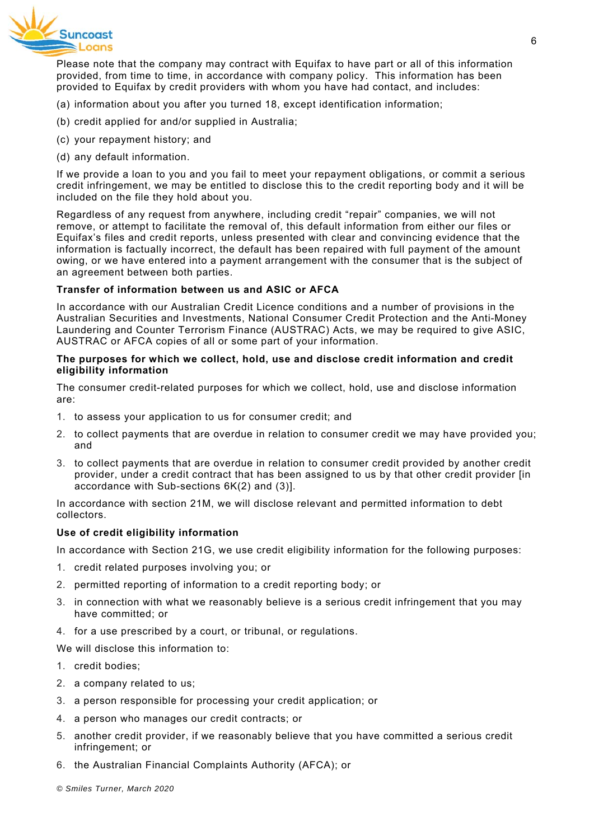

Please note that the company may contract with Equifax to have part or all of this information provided, from time to time, in accordance with company policy. This information has been provided to Equifax by credit providers with whom you have had contact, and includes:

- (a) information about you after you turned 18, except identification information;
- (b) credit applied for and/or supplied in Australia;
- (c) your repayment history; and
- (d) any default information.

If we provide a loan to you and you fail to meet your repayment obligations, or commit a serious credit infringement, we may be entitled to disclose this to the credit reporting body and it will be included on the file they hold about you.

Regardless of any request from anywhere, including credit "repair" companies, we will not remove, or attempt to facilitate the removal of, this default information from either our files or Equifax's files and credit reports, unless presented with clear and convincing evidence that the information is factually incorrect, the default has been repaired with full payment of the amount owing, or we have entered into a payment arrangement with the consumer that is the subject of an agreement between both parties.

# **Transfer of information between us and ASIC or AFCA**

In accordance with our Australian Credit Licence conditions and a number of provisions in the Australian Securities and Investments, National Consumer Credit Protection and the Anti-Money Laundering and Counter Terrorism Finance (AUSTRAC) Acts, we may be required to give ASIC, AUSTRAC or AFCA copies of all or some part of your information.

## **The purposes for which we collect, hold, use and disclose credit information and credit eligibility information**

The consumer credit-related purposes for which we collect, hold, use and disclose information are:

- 1. to assess your application to us for consumer credit; and
- 2. to collect payments that are overdue in relation to consumer credit we may have provided you; and
- 3. to collect payments that are overdue in relation to consumer credit provided by another credit provider, under a credit contract that has been assigned to us by that other credit provider [in accordance with Sub-sections 6K(2) and (3)].

In accordance with section 21M, we will disclose relevant and permitted information to debt collectors.

#### **Use of credit eligibility information**

In accordance with Section 21G, we use credit eligibility information for the following purposes:

- 1. credit related purposes involving you; or
- 2. permitted reporting of information to a credit reporting body; or
- 3. in connection with what we reasonably believe is a serious credit infringement that you may have committed; or
- 4. for a use prescribed by a court, or tribunal, or regulations.

We will disclose this information to:

- 1. credit bodies;
- 2. a company related to us;
- 3. a person responsible for processing your credit application; or
- 4. a person who manages our credit contracts; or
- 5. another credit provider, if we reasonably believe that you have committed a serious credit infringement; or
- 6. the Australian Financial Complaints Authority (AFCA); or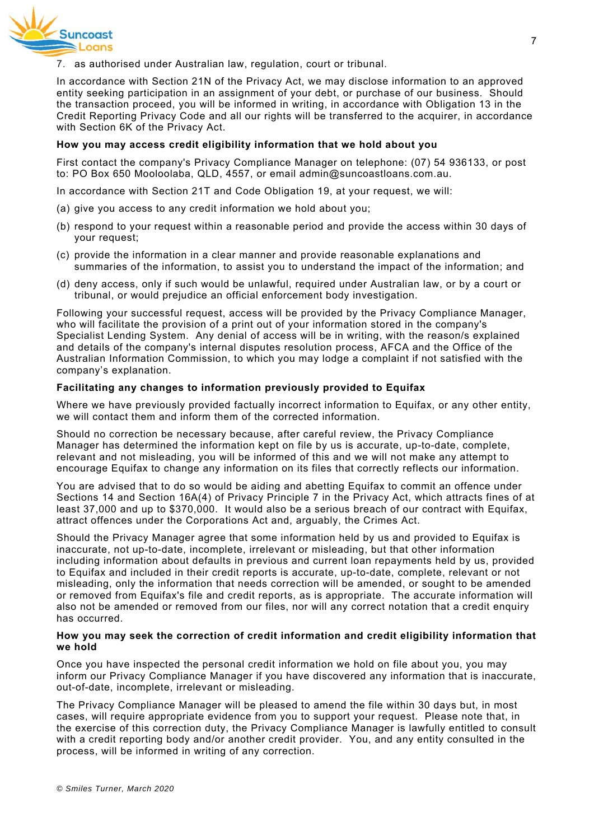7. as authorised under Australian law, regulation, court or tribunal.

In accordance with Section 21N of the Privacy Act, we may disclose information to an approved entity seeking participation in an assignment of your debt, or purchase of our business. Should the transaction proceed, you will be informed in writing, in accordance with Obligation 13 in the Credit Reporting Privacy Code and all our rights will be transferred to the acquirer, in accordance with Section 6K of the Privacy Act.

#### **How you may access credit eligibility information that we hold about you**

First contact the company's Privacy Compliance Manager on telephone: (07) 54 936133, or post to: PO Box 650 Mooloolaba, QLD, 4557, or email admin@suncoastloans.com.au.

- In accordance with Section 21T and Code Obligation 19, at your request, we will:
- (a) give you access to any credit information we hold about you;
- (b) respond to your request within a reasonable period and provide the access within 30 days of your request;
- (c) provide the information in a clear manner and provide reasonable explanations and summaries of the information, to assist you to understand the impact of the information; and
- (d) deny access, only if such would be unlawful, required under Australian law, or by a court or tribunal, or would prejudice an official enforcement body investigation.

Following your successful request, access will be provided by the Privacy Compliance Manager, who will facilitate the provision of a print out of your information stored in the company's Specialist Lending System. Any denial of access will be in writing, with the reason/s explained and details of the company's internal disputes resolution process, AFCA and the Office of the Australian Information Commission, to which you may lodge a complaint if not satisfied with the company's explanation.

# **Facilitating any changes to information previously provided to Equifax**

Where we have previously provided factually incorrect information to Equifax, or any other entity, we will contact them and inform them of the corrected information.

Should no correction be necessary because, after careful review, the Privacy Compliance Manager has determined the information kept on file by us is accurate, up-to-date, complete, relevant and not misleading, you will be informed of this and we will not make any attempt to encourage Equifax to change any information on its files that correctly reflects our information.

You are advised that to do so would be aiding and abetting Equifax to commit an offence under Sections 14 and Section 16A(4) of Privacy Principle 7 in the Privacy Act, which attracts fines of at least 37,000 and up to \$370,000. It would also be a serious breach of our contract with Equifax, attract offences under the Corporations Act and, arguably, the Crimes Act.

Should the Privacy Manager agree that some information held by us and provided to Equifax is inaccurate, not up-to-date, incomplete, irrelevant or misleading, but that other information including information about defaults in previous and current loan repayments held by us, provided to Equifax and included in their credit reports is accurate, up-to-date, complete, relevant or not misleading, only the information that needs correction will be amended, or sought to be amended or removed from Equifax's file and credit reports, as is appropriate. The accurate information will also not be amended or removed from our files, nor will any correct notation that a credit enquiry has occurred.

#### **How you may seek the correction of credit information and credit eligibility information that we hold**

Once you have inspected the personal credit information we hold on file about you, you may inform our Privacy Compliance Manager if you have discovered any information that is inaccurate, out-of-date, incomplete, irrelevant or misleading.

The Privacy Compliance Manager will be pleased to amend the file within 30 days but, in most cases, will require appropriate evidence from you to support your request. Please note that, in the exercise of this correction duty, the Privacy Compliance Manager is lawfully entitled to consult with a credit reporting body and/or another credit provider. You, and any entity consulted in the process, will be informed in writing of any correction.